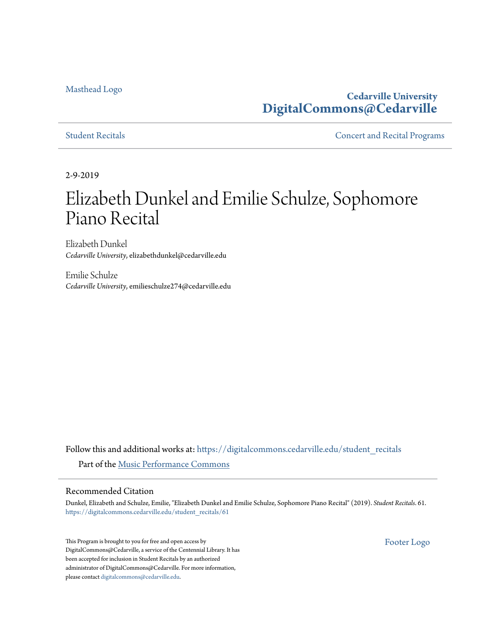### [Masthead Logo](http://www.cedarville.edu/?utm_source=digitalcommons.cedarville.edu%2Fstudent_recitals%2F61&utm_medium=PDF&utm_campaign=PDFCoverPages)

# **Cedarville University [DigitalCommons@Cedarville](https://digitalcommons.cedarville.edu?utm_source=digitalcommons.cedarville.edu%2Fstudent_recitals%2F61&utm_medium=PDF&utm_campaign=PDFCoverPages)**

[Student Recitals](https://digitalcommons.cedarville.edu/student_recitals?utm_source=digitalcommons.cedarville.edu%2Fstudent_recitals%2F61&utm_medium=PDF&utm_campaign=PDFCoverPages) **[Concert and Recital Programs](https://digitalcommons.cedarville.edu/concert_and_recital_programs?utm_source=digitalcommons.cedarville.edu%2Fstudent_recitals%2F61&utm_medium=PDF&utm_campaign=PDFCoverPages)** 

2-9-2019

# Elizabeth Dunkel and Emilie Schulze, Sophomore Piano Recital

Elizabeth Dunkel *Cedarville University*, elizabethdunkel@cedarville.edu

Emilie Schulze *Cedarville University*, emilieschulze274@cedarville.edu

Follow this and additional works at: [https://digitalcommons.cedarville.edu/student\\_recitals](https://digitalcommons.cedarville.edu/student_recitals?utm_source=digitalcommons.cedarville.edu%2Fstudent_recitals%2F61&utm_medium=PDF&utm_campaign=PDFCoverPages) Part of the [Music Performance Commons](http://network.bepress.com/hgg/discipline/1128?utm_source=digitalcommons.cedarville.edu%2Fstudent_recitals%2F61&utm_medium=PDF&utm_campaign=PDFCoverPages)

#### Recommended Citation

Dunkel, Elizabeth and Schulze, Emilie, "Elizabeth Dunkel and Emilie Schulze, Sophomore Piano Recital" (2019). *Student Recitals*. 61. [https://digitalcommons.cedarville.edu/student\\_recitals/61](https://digitalcommons.cedarville.edu/student_recitals/61?utm_source=digitalcommons.cedarville.edu%2Fstudent_recitals%2F61&utm_medium=PDF&utm_campaign=PDFCoverPages)

This Program is brought to you for free and open access by DigitalCommons@Cedarville, a service of the Centennial Library. It has been accepted for inclusion in Student Recitals by an authorized administrator of DigitalCommons@Cedarville. For more information, please contact [digitalcommons@cedarville.edu.](mailto:digitalcommons@cedarville.edu)

[Footer Logo](http://www.cedarville.edu/Academics/Library.aspx?utm_source=digitalcommons.cedarville.edu%2Fstudent_recitals%2F61&utm_medium=PDF&utm_campaign=PDFCoverPages)